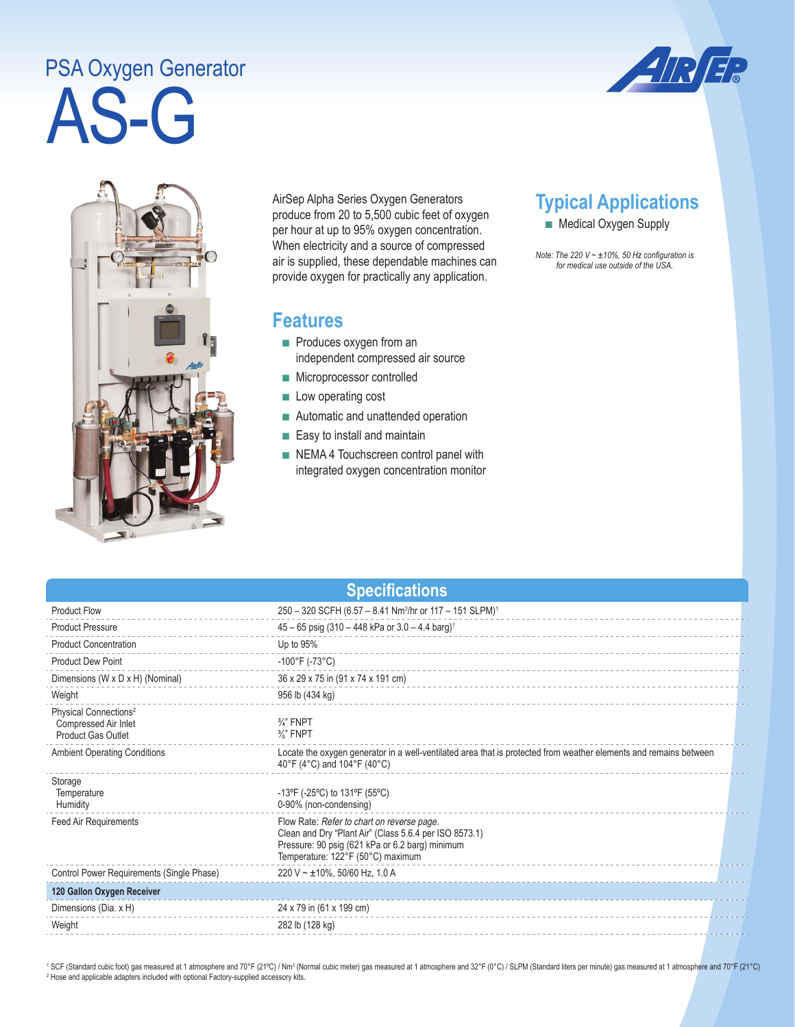## AS-G PSA Oxygen Generator





AirSep Alpha Series Oxygen Generators produce from 20 to 5,500 cubic feet of oxygen per hour at up to 95% oxygen concentration. When electricity and a source of compressed air is supplied, these dependable machines can provide oxygen for practically any application.

## **Features**

- Produces oxygen from an independent compressed air source
- Microprocessor controlled
- Low operating cost
- Automatic and unattended operation
- Easy to install and maintain
- NEMA 4 Touchscreen control panel with integrated oxygen concentration monitor

## **Typical Applications**

■ Medical Oxygen Supply

*Note: The 220 V ~ ±10%, 50 Hz configuration is for medical use outside of the USA.* 

|  | <b>Specifications</b> |  |
|--|-----------------------|--|
|  |                       |  |

| <b>Product Flow</b>                                                                    | 250 - 320 SCFH (6.57 - 8.41 Nm <sup>3</sup> /hr or 117 - 151 SLPM) <sup>1</sup>                                                                                                              |
|----------------------------------------------------------------------------------------|----------------------------------------------------------------------------------------------------------------------------------------------------------------------------------------------|
| <b>Product Pressure</b>                                                                | $45 - 65$ psig (310 - 448 kPa or 3.0 - 4.4 barg) <sup>1</sup>                                                                                                                                |
| <b>Product Concentration</b>                                                           | Up to 95%                                                                                                                                                                                    |
| <b>Product Dew Point</b>                                                               | $-100^{\circ}$ F (-73°C)                                                                                                                                                                     |
| Dimensions (W x D x H) (Nominal)                                                       | 36 x 29 x 75 in (91 x 74 x 191 cm)                                                                                                                                                           |
| Weight                                                                                 | 956 lb (434 kg)                                                                                                                                                                              |
| Physical Connections <sup>2</sup><br>Compressed Air Inlet<br><b>Product Gas Outlet</b> | $\frac{3}{4}$ " FNPT<br>%" FNPT                                                                                                                                                              |
| <b>Ambient Operating Conditions</b>                                                    | Locate the oxygen generator in a well-ventilated area that is protected from weather elements and remains between<br>40°F (4°C) and 104°F (40°C)                                             |
| Storage<br>Temperature<br>Humidity                                                     | -13°F (-25°C) to 131°F (55°C)<br>0-90% (non-condensing)                                                                                                                                      |
| <b>Feed Air Requirements</b>                                                           | Flow Rate: Refer to chart on reverse page.<br>Clean and Dry "Plant Air" (Class 5.6.4 per ISO 8573.1)<br>Pressure: 90 psig (621 kPa or 6.2 barg) minimum<br>Temperature: 122°F (50°C) maximum |
| Control Power Requirements (Single Phase)                                              | 220 V ~ $\pm$ 10%, 50/60 Hz, 1.0 A                                                                                                                                                           |
| 120 Gallon Oxygen Receiver                                                             |                                                                                                                                                                                              |
| Dimensions (Dia. x H)                                                                  | 24 x 79 in (61 x 199 cm)                                                                                                                                                                     |
| Weight                                                                                 | 282 lb (128 kg)                                                                                                                                                                              |

<sup>1</sup> SCF (Standard cubic foot) gas measured at 1 atmosphere and 70°F (21°C) / Nm<sup>3</sup> (Normal cubic meter) gas measured at 1 atmosphere and 32°F (0°C) / SLPM (Standard liters per minute) gas measured at 1 atmosphere and 70°F <sup>2</sup> Hose and applicable adapters included with optional Factory-supplied accessory kits.